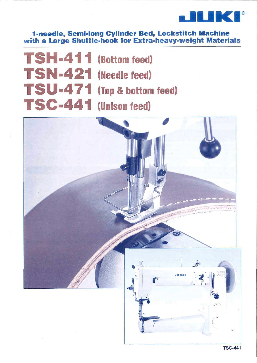

1-needle, Semi-long Cylinder Bed, Lockstitch Machine with a Large Shuttle-hook for Extra-heavy-weight Materials

**TSH-411** (Bottom feed) **TSN-421 (Needle feed)** TSU-471 (Top & bottom feed) TSC-441 (Unison feed)